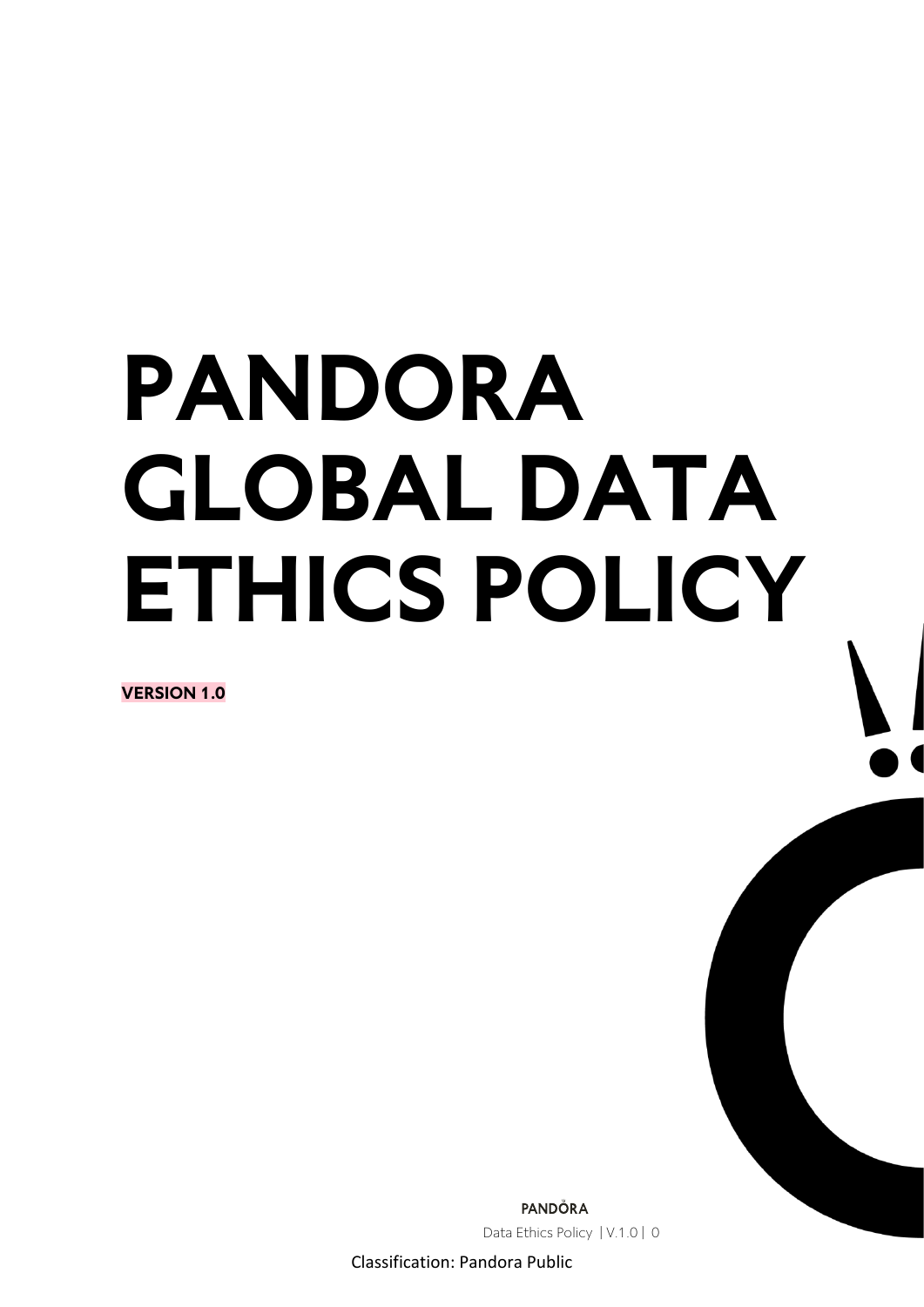# **PANDORA GLOBAL DATA ETHICS POLICY**

**VERSION 1.0**

PANDÖRA Data Ethics Policy | V.1.0 | 0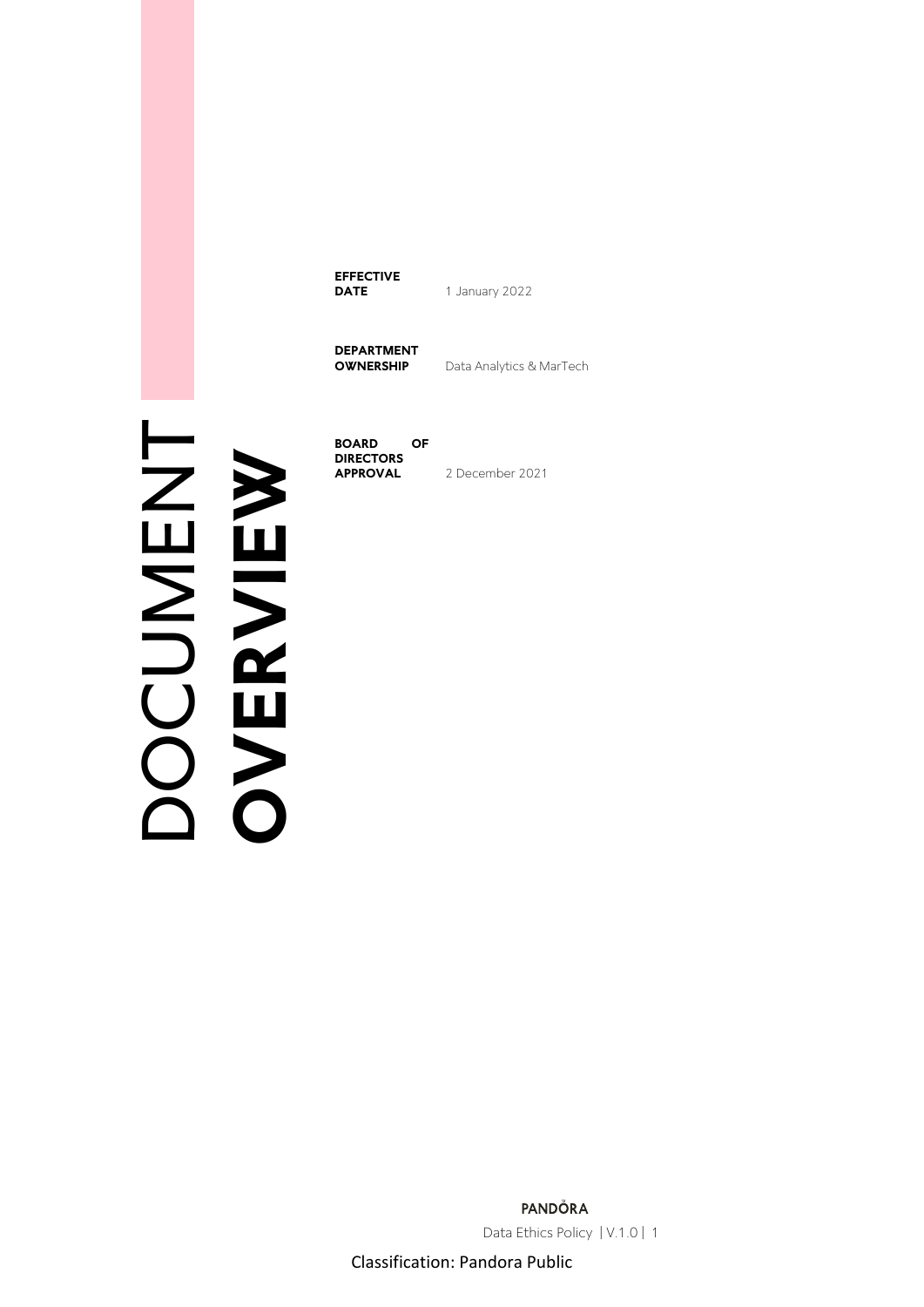**EFFECTIVE DATE** 1 January 2022

**DEPARTMENT** 

**Data Analytics & MarTech** 

DOCUMENT **DOCUMENT**<br>
OVERVIEW

**BOARD OF DIRECTORS**<br>**APPROVAL APPROVAL** 2 December 2021

> PANDÖRA Data Ethics Policy | V.1.0 | 1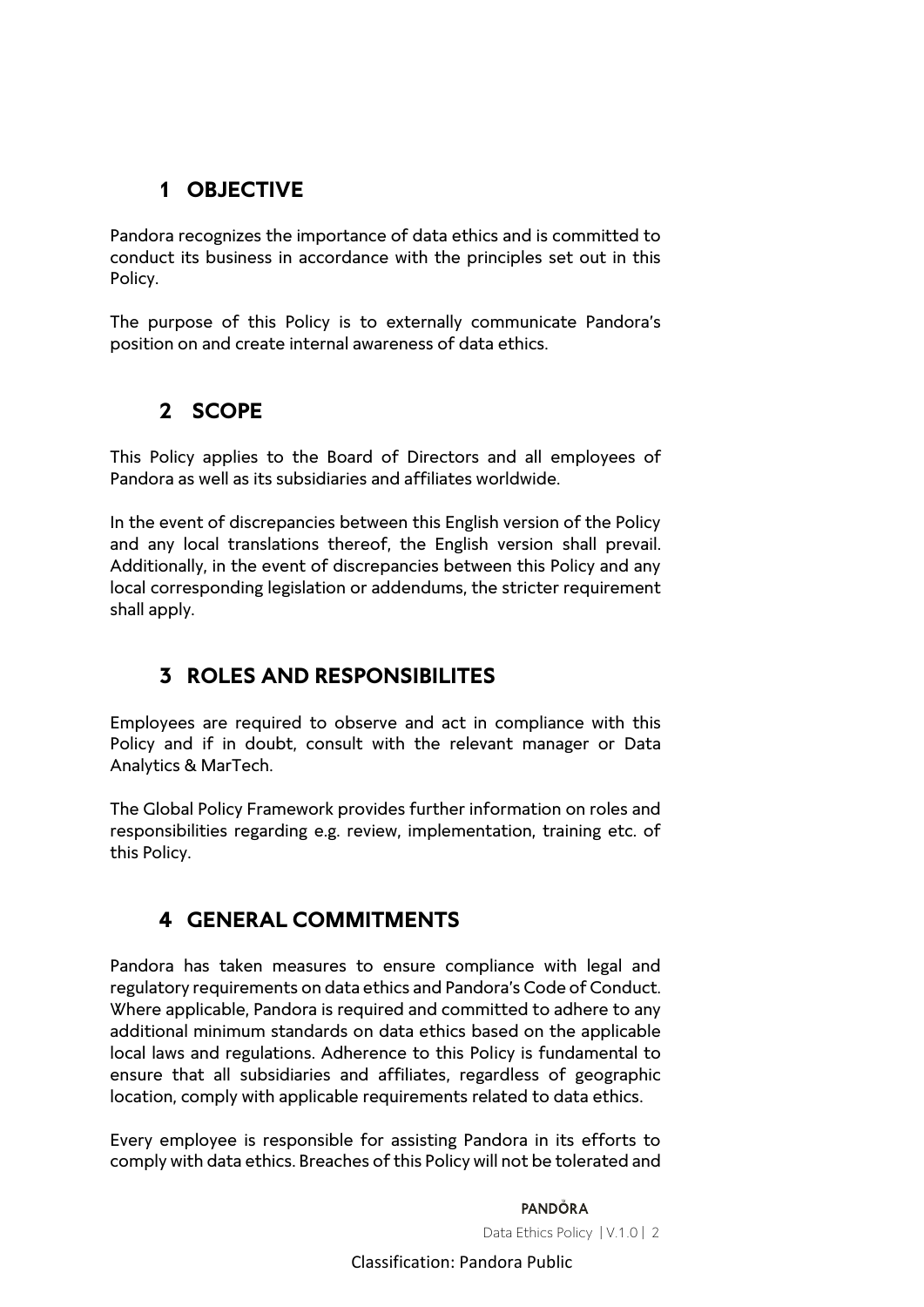# **1 OBJECTIVE**

Pandora recognizes the importance of data ethics and is committed to conduct its business in accordance with the principles set out in this Policy.

The purpose of this Policy is to externally communicate Pandora's position on and create internal awareness of data ethics.

# **2 SCOPE**

This Policy applies to the Board of Directors and all employees of Pandora as well as its subsidiaries and affiliates worldwide.

In the event of discrepancies between this English version of the Policy and any local translations thereof, the English version shall prevail. Additionally, in the event of discrepancies between this Policy and any local corresponding legislation or addendums, the stricter requirement shall apply.

# **3 ROLES AND RESPONSIBILITES**

Employees are required to observe and act in compliance with this Policy and if in doubt, consult with the relevant manager or Data Analytics & MarTech.

The Global Policy Framework provides further information on roles and responsibilities regarding e.g. review, implementation, training etc. of this Policy.

# **4 GENERAL COMMITMENTS**

Pandora has taken measures to ensure compliance with legal and regulatory requirements on data ethics and Pandora's Code of Conduct. Where applicable, Pandora is required and committed to adhere to any additional minimum standards on data ethics based on the applicable local laws and regulations. Adherence to this Policy is fundamental to ensure that all subsidiaries and affiliates, regardless of geographic location, comply with applicable requirements related to data ethics.

Every employee is responsible for assisting Pandora in its efforts to comply with data ethics. Breaches of this Policy will not be tolerated and

> **PANDÖRA** Data Ethics Policy | V.1.0 | 2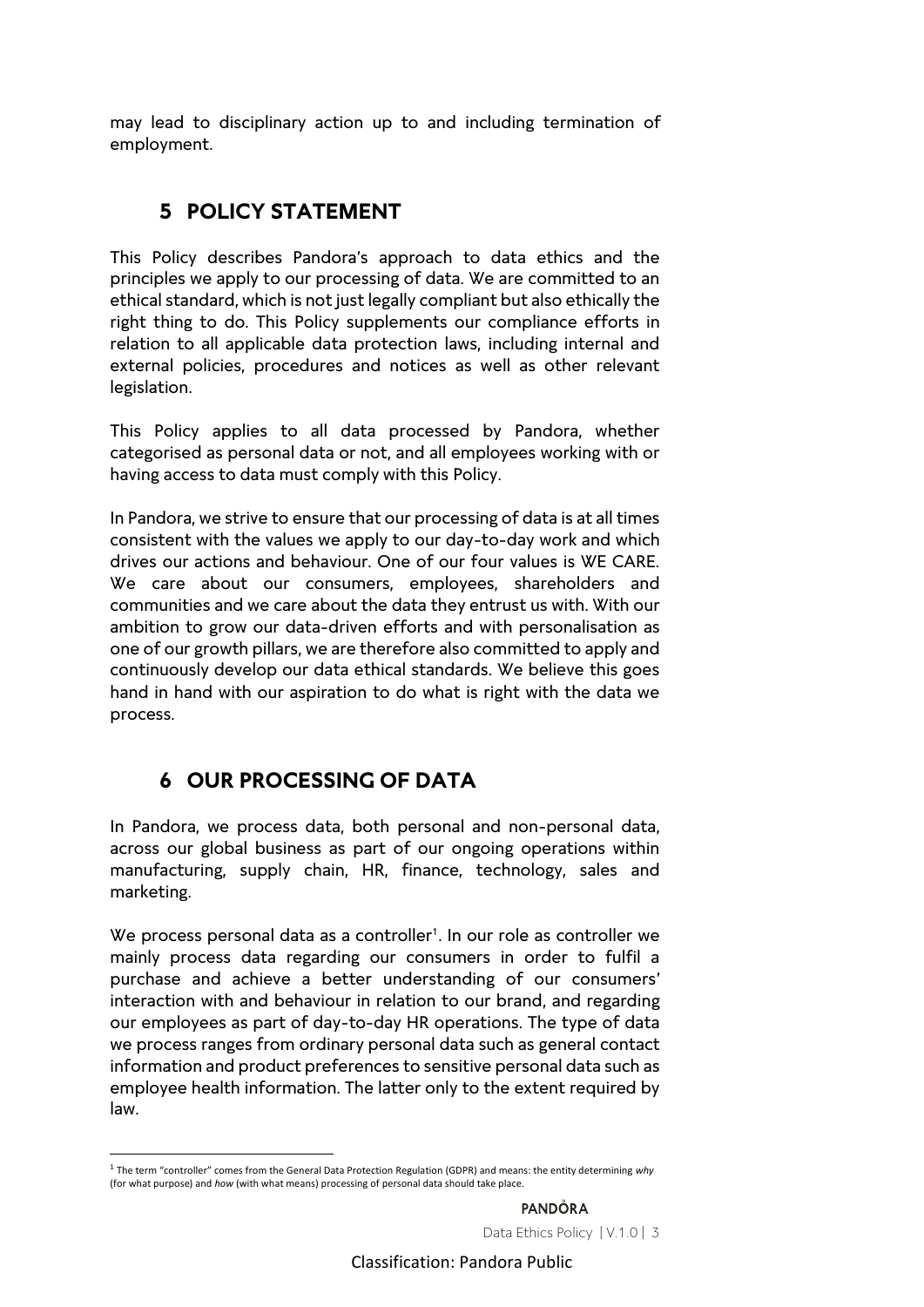may lead to disciplinary action up to and including termination of employment.

## **5 POLICY STATEMENT**

This Policy describes Pandora's approach to data ethics and the principles we apply to our processing of data. We are committed to an ethical standard, which is not just legally compliant but also ethically the right thing to do. This Policy supplements our compliance efforts in relation to all applicable data protection laws, including internal and external policies, procedures and notices as well as other relevant legislation.

This Policy applies to all data processed by Pandora, whether categorised as personal data or not, and all employees working with or having access to data must comply with this Policy.

In Pandora, we strive to ensure that our processing of data is at all times consistent with the values we apply to our day-to-day work and which drives our actions and behaviour. One of our four values is WE CARE. We care about our consumers, employees, shareholders and communities and we care about the data they entrust us with. With our ambition to grow our data-driven efforts and with personalisation as one of our growth pillars, we are therefore also committed to apply and continuously develop our data ethical standards. We believe this goes hand in hand with our aspiration to do what is right with the data we process.

# **6 OUR PROCESSING OF DATA**

In Pandora, we process data, both personal and non-personal data, across our global business as part of our ongoing operations within manufacturing, supply chain, HR, finance, technology, sales and marketing.

We process personal data as a controller<sup>1</sup>. In our role as controller we mainly process data regarding our consumers in order to fulfil a purchase and achieve a better understanding of our consumers' interaction with and behaviour in relation to our brand, and regarding our employees as part of day-to-day HR operations. The type of data we process ranges from ordinary personal data such as general contact information and product preferences to sensitive personal data such as employee health information. The latter only to the extent required by law.

**PANDÖRA** Data Ethics Policy | V.1.0 | 3

<sup>1</sup> The term "controller" comes from the General Data Protection Regulation (GDPR) and means: the entity determining *why* (for what purpose) and *how* (with what means) processing of personal data should take place.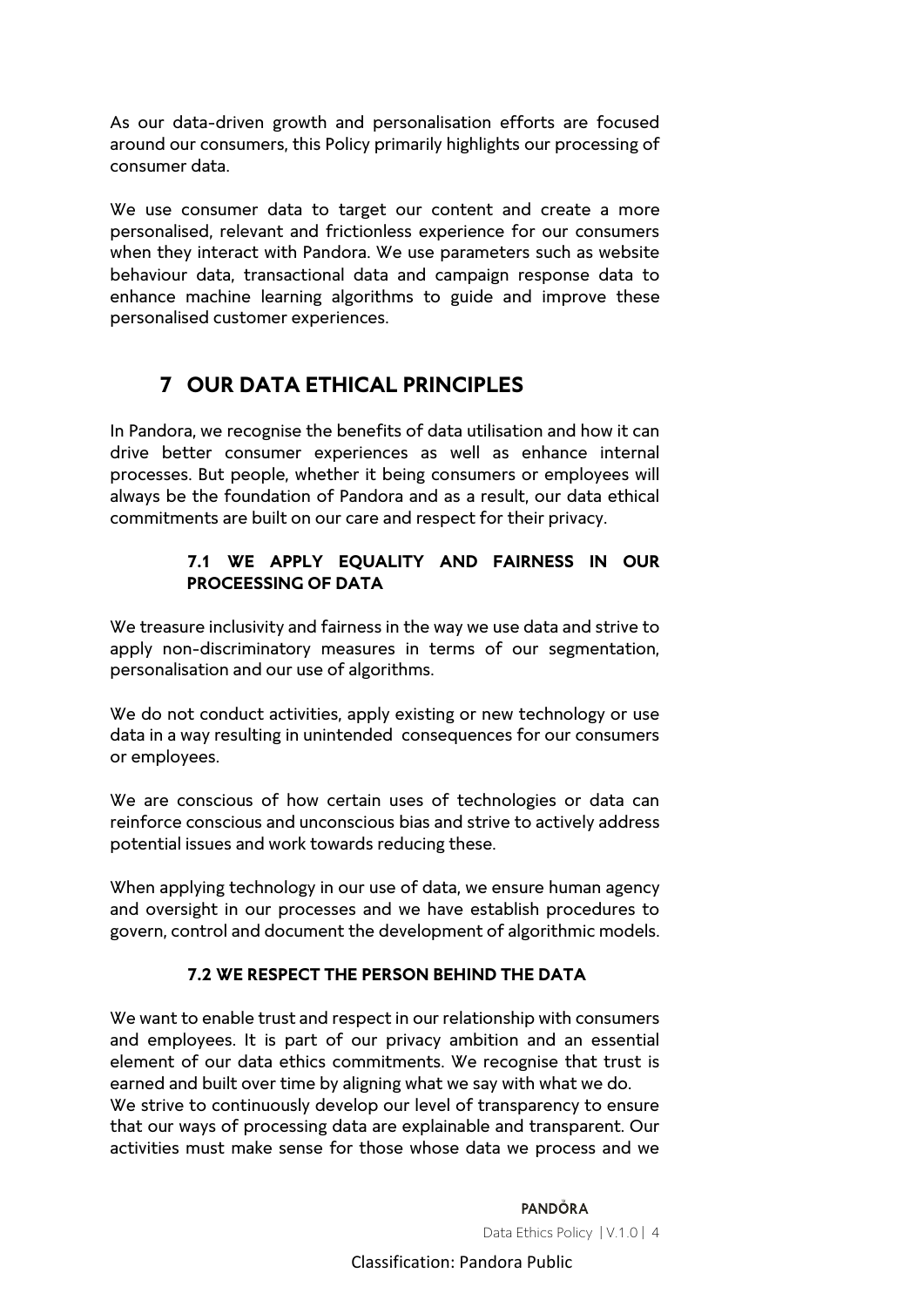As our data-driven growth and personalisation efforts are focused around our consumers, this Policy primarily highlights our processing of consumer data.

We use consumer data to target our content and create a more personalised, relevant and frictionless experience for our consumers when they interact with Pandora. We use parameters such as website behaviour data, transactional data and campaign response data to enhance machine learning algorithms to guide and improve these personalised customer experiences.

## **7 OUR DATA ETHICAL PRINCIPLES**

In Pandora, we recognise the benefits of data utilisation and how it can drive better consumer experiences as well as enhance internal processes. But people, whether it being consumers or employees will always be the foundation of Pandora and as a result, our data ethical commitments are built on our care and respect for their privacy.

#### **7.1 WE APPLY EQUALITY AND FAIRNESS IN OUR PROCEESSING OF DATA**

We treasure inclusivity and fairness in the way we use data and strive to apply non-discriminatory measures in terms of our segmentation, personalisation and our use of algorithms.

We do not conduct activities, apply existing or new technology or use data in a way resulting in unintended consequences for our consumers or employees.

We are conscious of how certain uses of technologies or data can reinforce conscious and unconscious bias and strive to actively address potential issues and work towards reducing these.

When applying technology in our use of data, we ensure human agency and oversight in our processes and we have establish procedures to govern, control and document the development of algorithmic models.

#### **7.2 WE RESPECT THE PERSON BEHIND THE DATA**

We want to enable trust and respect in our relationship with consumers and employees. It is part of our privacy ambition and an essential element of our data ethics commitments. We recognise that trust is earned and built over time by aligning what we say with what we do. We strive to continuously develop our level of transparency to ensure that our ways of processing data are explainable and transparent. Our activities must make sense for those whose data we process and we

> **PANDÖRA** Data Ethics Policy | V.1.0 | 4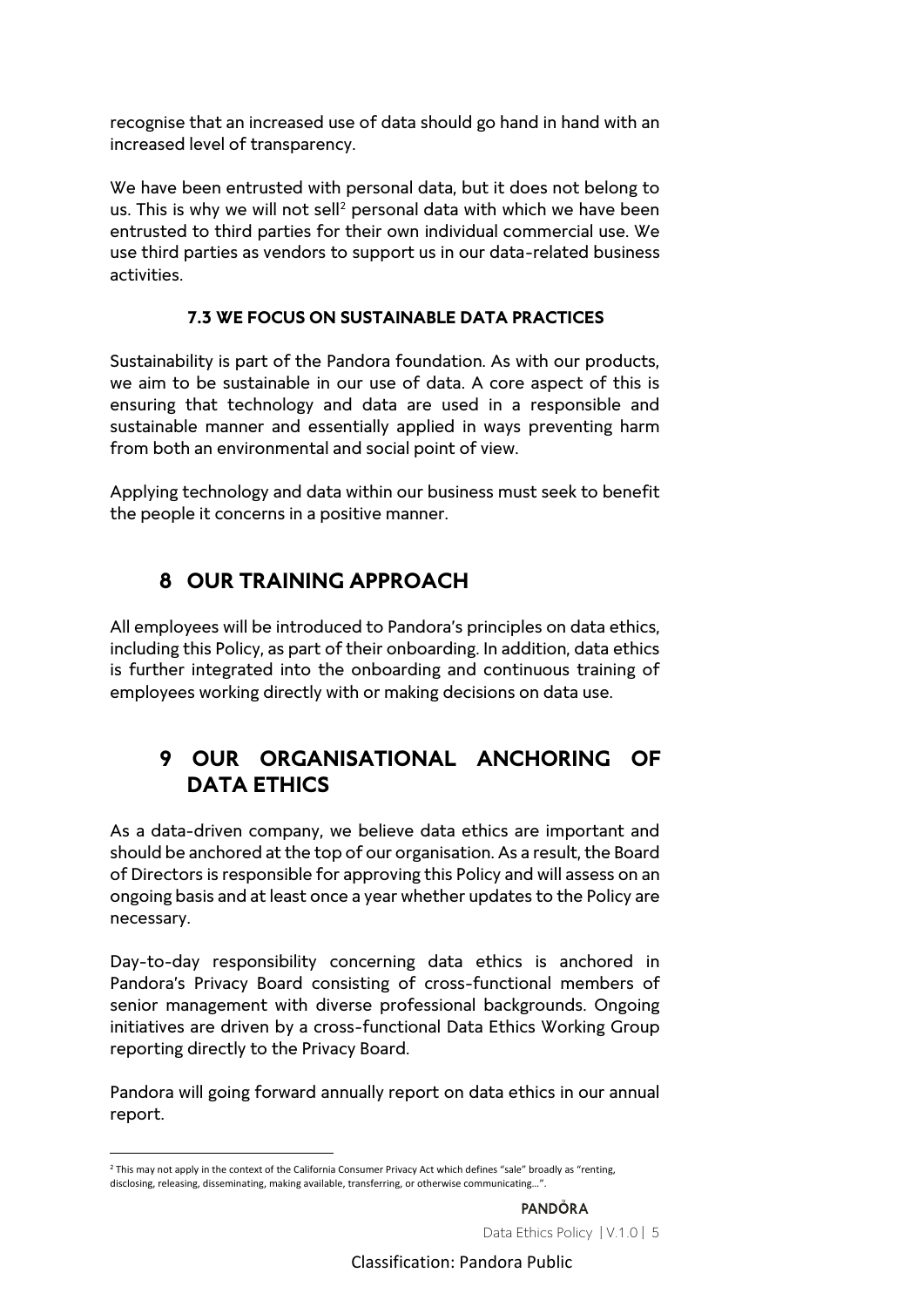recognise that an increased use of data should go hand in hand with an increased level of transparency.

We have been entrusted with personal data, but it does not belong to us. This is why we will not sell<sup>2</sup> personal data with which we have been entrusted to third parties for their own individual commercial use. We use third parties as vendors to support us in our data-related business activities.

#### **7.3 WE FOCUS ON SUSTAINABLE DATA PRACTICES**

Sustainability is part of the Pandora foundation. As with our products, we aim to be sustainable in our use of data. A core aspect of this is ensuring that technology and data are used in a responsible and sustainable manner and essentially applied in ways preventing harm from both an environmental and social point of view.

Applying technology and data within our business must seek to benefit the people it concerns in a positive manner.

# **8 OUR TRAINING APPROACH**

All employees will be introduced to Pandora's principles on data ethics, including this Policy, as part of their onboarding. In addition, data ethics is further integrated into the onboarding and continuous training of employees working directly with or making decisions on data use.

### **9 OUR ORGANISATIONAL ANCHORING OF DATA ETHICS**

As a data-driven company, we believe data ethics are important and should be anchored at the top of our organisation. As a result, the Board of Directors is responsible for approving this Policy and will assess on an ongoing basis and at least once a year whether updates to the Policy are necessary.

Day-to-day responsibility concerning data ethics is anchored in Pandora's Privacy Board consisting of cross-functional members of senior management with diverse professional backgrounds. Ongoing initiatives are driven by a cross-functional Data Ethics Working Group reporting directly to the Privacy Board.

Pandora will going forward annually report on data ethics in our annual report.

<sup>&</sup>lt;sup>2</sup> This may not apply in the context of the California Consumer Privacy Act which defines "sale" broadly as "renting, disclosing, releasing, disseminating, making available, transferring, or otherwise communicating...".